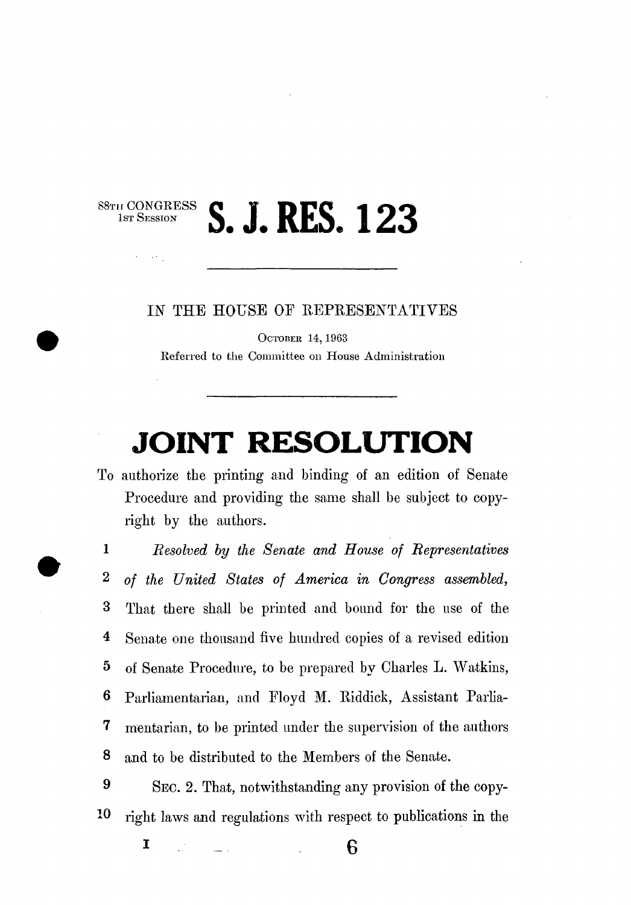$\mathcal{A}_{\mathcal{A}}$ 

 $\frac{\text{S8Tr H CONGRESS}}{\text{Isr} \text{ SESION}}$  **S. J. RES. 123** 

IN THE HOUSE OF REPRESENTATIVES

OCTOBER 14,1963 Referred to the Committee on House Administration

## **JOINT RESOLUTION**

To authorize the printing and binding of an edition of Senate Procedure and providing the same shall be subject to copyright by the authors.

1 *Resolved by the Senate and House of Representatives*  2 *of the United States of America in Congress assembled,*  3 That there shall be printed and bound for the use of the 4 Senate one thousand five himdred copies of a revised edition 5 of Senate Procedure, to be prepared by Charles L. Watkins, 6 Parliamentarian, and Floyd M. Riddick, Assistant Parlia-7 mentarian, to be printed under the supervision of the authors 8 and to be distributed to the Members of the Senate.

9 SEC. 2. That, notwithstanding any provision of the copy-10 right laws and regulations with respect to publications in the

**1**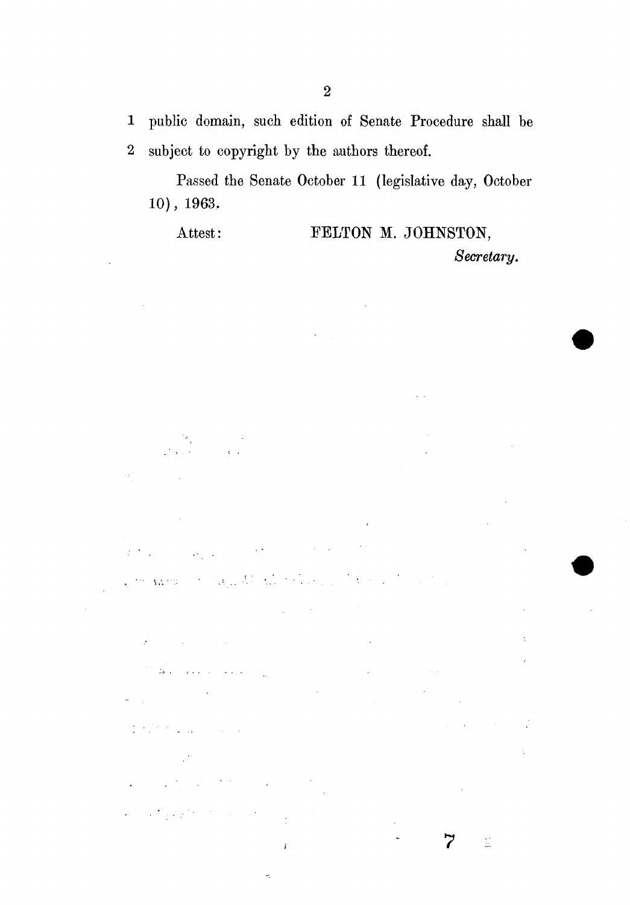1 public domain, such edition of Senate Procedure shall be 2 subject to copyright by the authors thereof.

Passed the Senate October 11 (legislative day, October 10), 1963.

Attest: FELTON M. JOHNSTON, *Secretary.* 

 $\mathbf{r}$ 

 $\mathbb{Z}$ 

va no.

 $\sim 10$ 

 $\mathcal{C}^{\mathcal{C}}(\mathcal{B},\mathcal{C})$  , and  $\mathcal{C}^{\mathcal{C}}(\mathcal{C},\mathcal{C})$ 

 $\mathbb{R}^2$ 

 $\mathcal{L}_{\text{max}}$  and  $\mathcal{L}_{\text{max}}$  and  $\mathcal{L}_{\text{max}}$  are the set of the set of  $\mathcal{L}_{\text{max}}$ 

**Contractor** 

 $\mathcal{L} = \mathcal{L} \mathcal{L}$  , where  $\mathcal{L} = \mathcal{L} \mathcal{L}$ 

 $\mathcal{I}$ 

 $\mathcal{L}_{\mathcal{L}}$  $\ddot{\phantom{0}}$ 

 $\ddot{\phantom{a}}$ 

 $\mathcal{L}^{\text{max}}_{\text{max}}$  , where  $\mathcal{L}^{\text{max}}_{\text{max}}$ 

 $\langle \hat{\sigma}_1 \rangle$  .

 $\bar{z}$  .

The Render of Person

 $\mathcal{L}_{\text{max}}$  and  $\mathcal{L}_{\text{max}}$ 

 $\frac{1}{4}$ 

 $\tilde{\mathcal{L}}_k$ 

 $\mathcal{A}^{\mathcal{A}}$ 

 $\phi_2$ 

 $\alpha$  .

 $\sim$   $\sim$ 

 $\overline{7}$ 

 $\mathbb{Z}$ 

 $\ddot{\phantom{a}}$ 

 $\bar{z}$ 

 $\mathbf{r}$